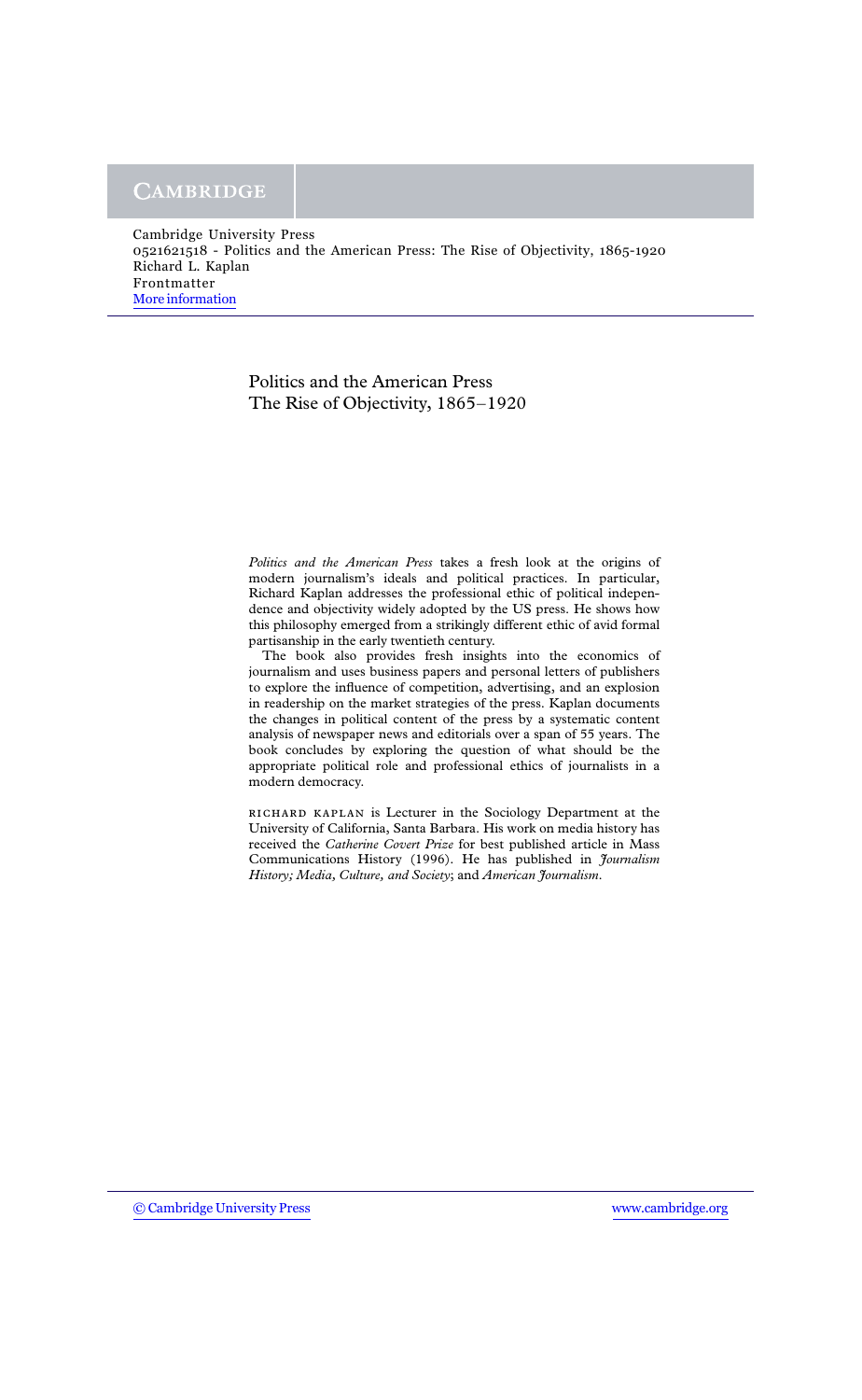## Politics and the American Press The Rise of Objectivity,  $1865-1920$

Politics and the American Press takes a fresh look at the origins of modern journalism's ideals and political practices. In particular, Richard Kaplan addresses the professional ethic of political independence and objectivity widely adopted by the US press. He shows how this philosophy emerged from a strikingly different ethic of avid formal partisanship in the early twentieth century.

The book also provides fresh insights into the economics of journalism and uses business papers and personal letters of publishers to explore the influence of competition, advertising, and an explosion in readership on the market strategies of the press. Kaplan documents the changes in political content of the press by a systematic content analysis of newspaper news and editorials over a span of 55 years. The book concludes by exploring the question of what should be the appropriate political role and professional ethics of journalists in a modern democracy.

RICHARD KAPLAN is Lecturer in the Sociology Department at the University of California, Santa Barbara. His work on media history has received the Catherine Covert Prize for best published article in Mass Communications History (1996). He has published in *Journalism* History; Media, Culture, and Society; and American Journalism.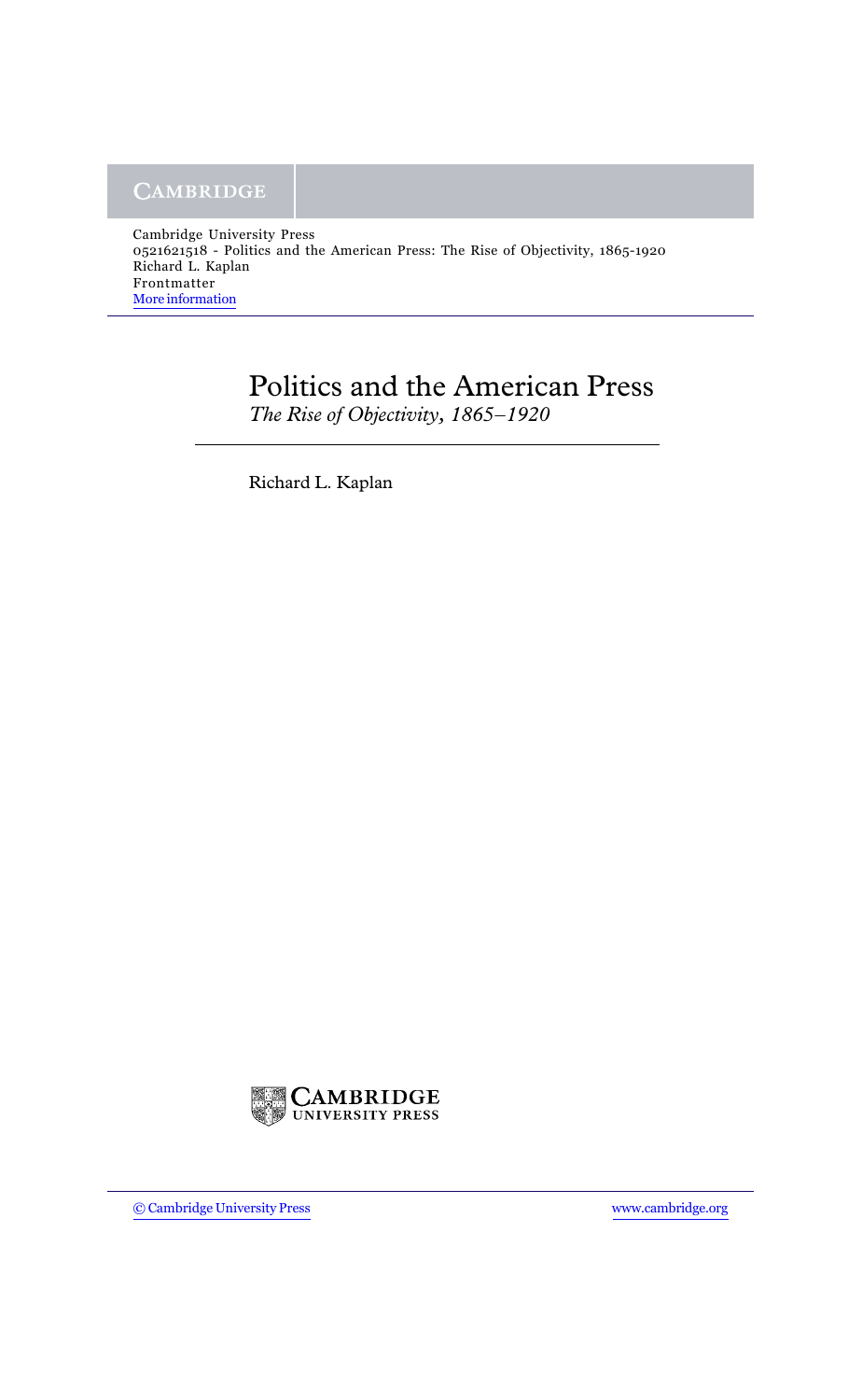## **Politics and the American Press**

The Rise of Objectivity, 1865-1920

Richard L. Kaplan

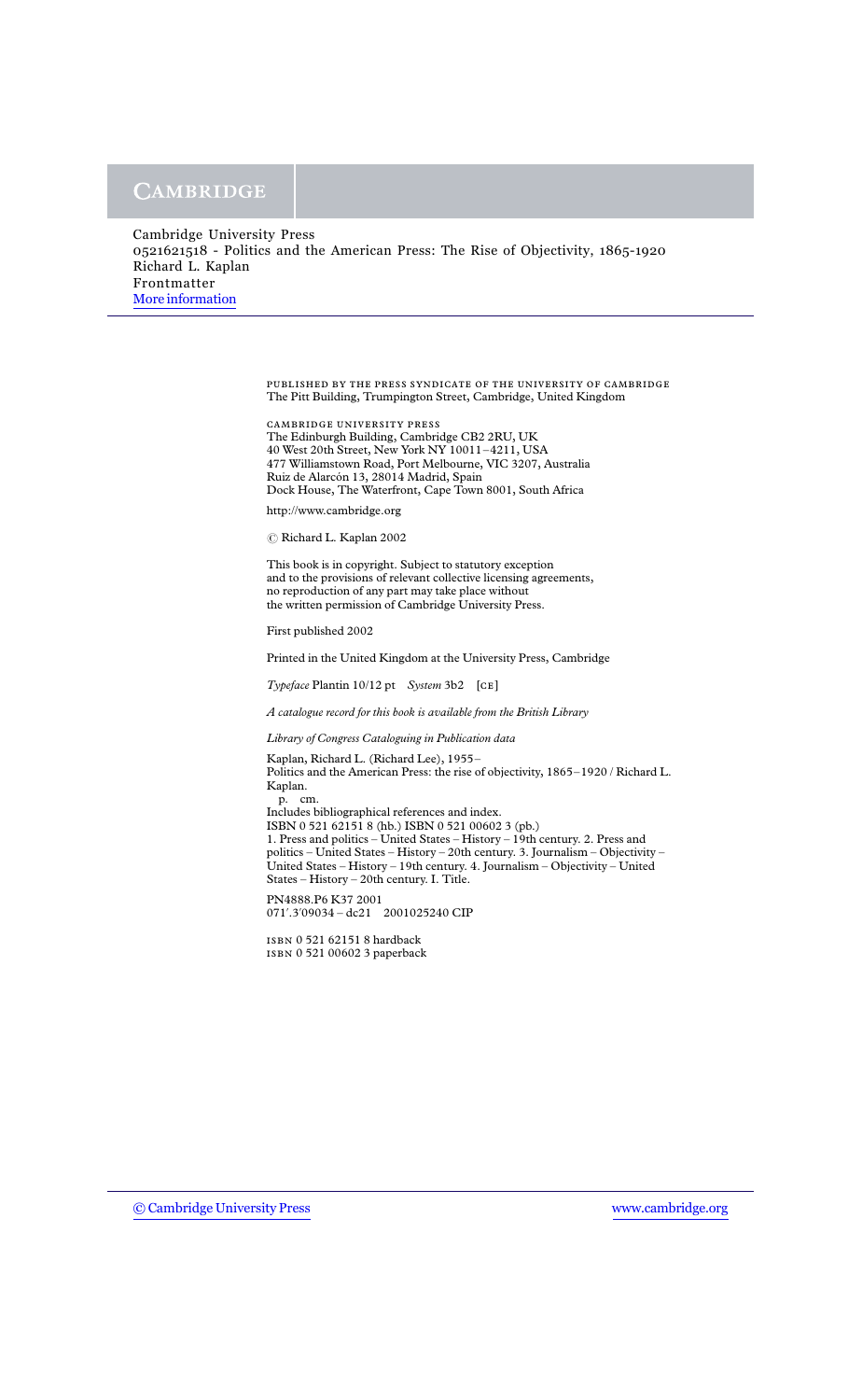| Cambridge University Press                                                        |
|-----------------------------------------------------------------------------------|
| 0.521621518 - Politics and the American Press: The Rise of Objectivity, 1865-1920 |
| Richard L. Kaplan                                                                 |
| Frontmatter                                                                       |
| More information                                                                  |
|                                                                                   |

PUBLISHED BY THE PRESS SYNDICATE OF THE UNIVERSITY OF CAMBRIDGE The Pitt Building, Trumpington Street, Cambridge, United Kingdom

CAMBRIDGE UNIVERSITY PRESS The Edinburgh Building, Cambridge CB2 2RU, UK 40 West 20th Street, New York NY 10011–4211, USA 477 Williamstown Road, Port Melbourne, VIC 3207, Australia Ruiz de Alarcón 13, 28014 Madrid, Spain Dock House, The Waterfront, Cape Town 8001, South Africa

http://www.cambridge.org

© Richard L. Kaplan 2002

This book is in copyright. Subject to statutory exception and to the provisions of relevant collective licensing agreements, no reproduction of any part may take place without the written permission of Cambridge University Press.

First published 2002

Printed in the United Kingdom at the University Press, Cambridge

 $Type face$  Plantin 10/12 pt System 3b2 [CE]

A catalogue record for this book is available from the British Library

Library of Congress Cataloguing in Publication data

Kaplan, Richard L. (Richard Lee), 1955– Politics and the American Press: the rise of objectivity, 1865–1920 / Richard L. Kaplan. p. cm. Includes bibliographical references and index. ISBN 0521621518 (hb.) ISBN 0521006023 (pb.) 1. Press and politics  $-$  United States  $-$  History  $-$  19th century. 2. Press and politics – United States – History – 20th century. 3. Journalism – Objectivity – United States – History – 19th century. 4. Journalism – Objectivity – United States – History – 20th century. I. Title. PN4888.P6 K37 2001

071'.3'09034 – dc21 2001025240 CIP

ISBN 0 521 62151 8 hardback ISBN 0521006023 paperback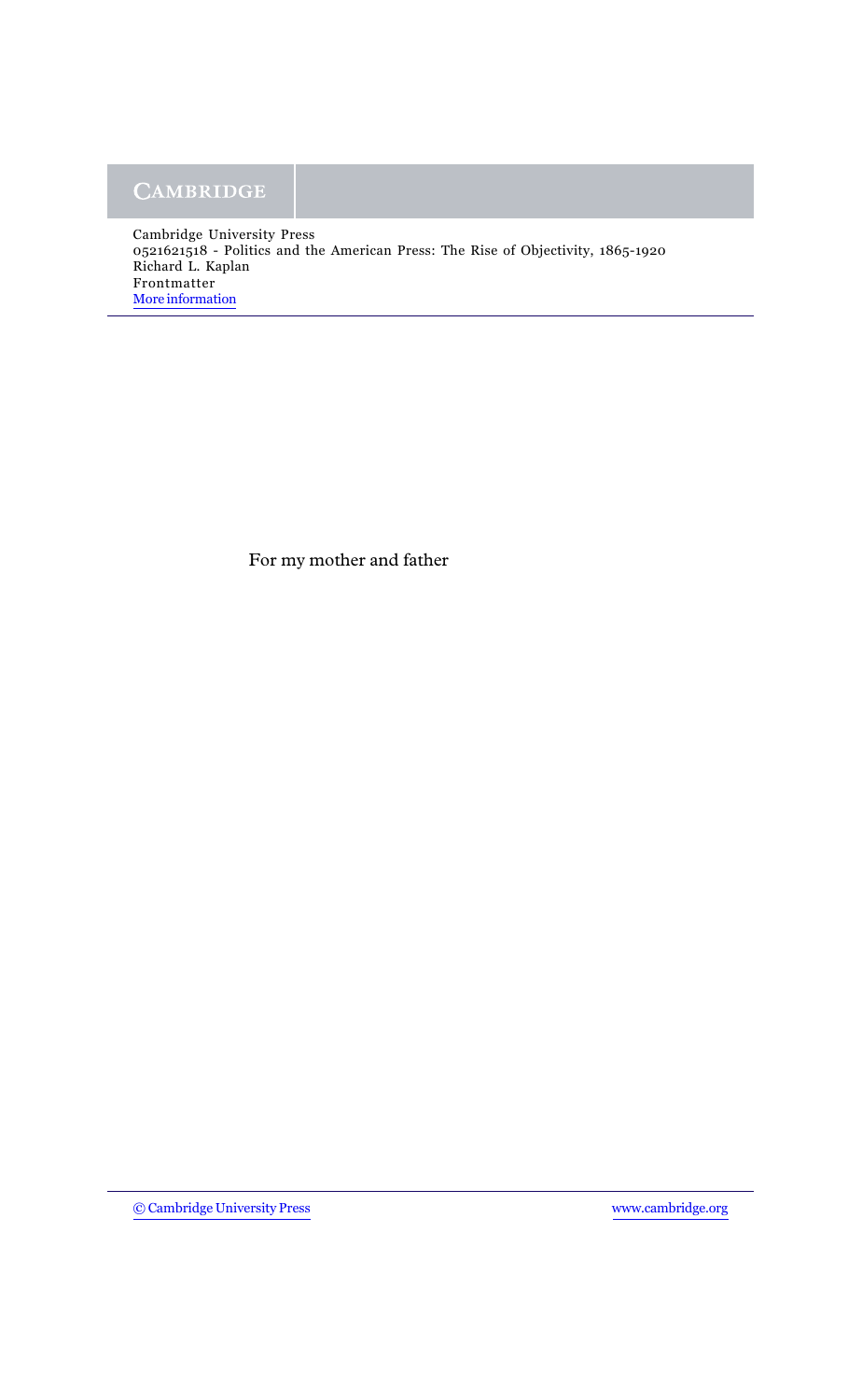For my mother and father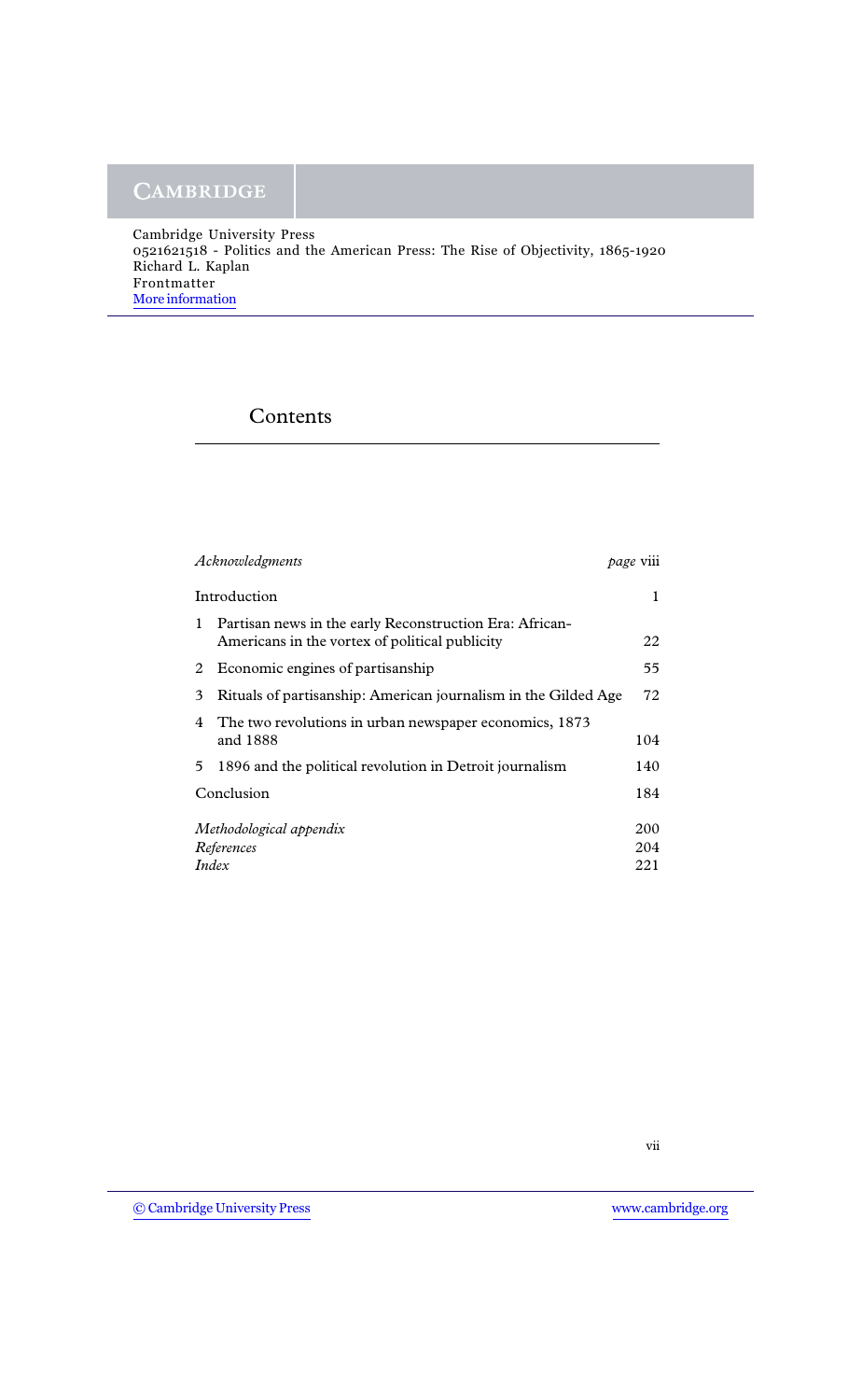| Cambridge University Press                                                       |
|----------------------------------------------------------------------------------|
| 0521621518 - Politics and the American Press: The Rise of Objectivity, 1865-1920 |
| Richard L. Kaplan                                                                |
| Frontmatter                                                                      |
| More information                                                                 |
|                                                                                  |

## Contents

| Acknowledgments                                |                                                                                                           | page V111         |
|------------------------------------------------|-----------------------------------------------------------------------------------------------------------|-------------------|
| Introduction                                   |                                                                                                           | 1                 |
| 1                                              | Partisan news in the early Reconstruction Era: African-<br>Americans in the vortex of political publicity | 22                |
|                                                | 2 Economic engines of partisanship                                                                        | 55                |
| 3                                              | Rituals of partisanship: American journalism in the Gilded Age                                            | 72                |
| 4                                              | The two revolutions in urban newspaper economics, 1873<br>and 1888                                        | 104               |
| 5.                                             | 1896 and the political revolution in Detroit journalism                                                   | 140               |
|                                                | Conclusion                                                                                                |                   |
| Methodological appendix<br>References<br>Index |                                                                                                           | 200<br>204<br>221 |